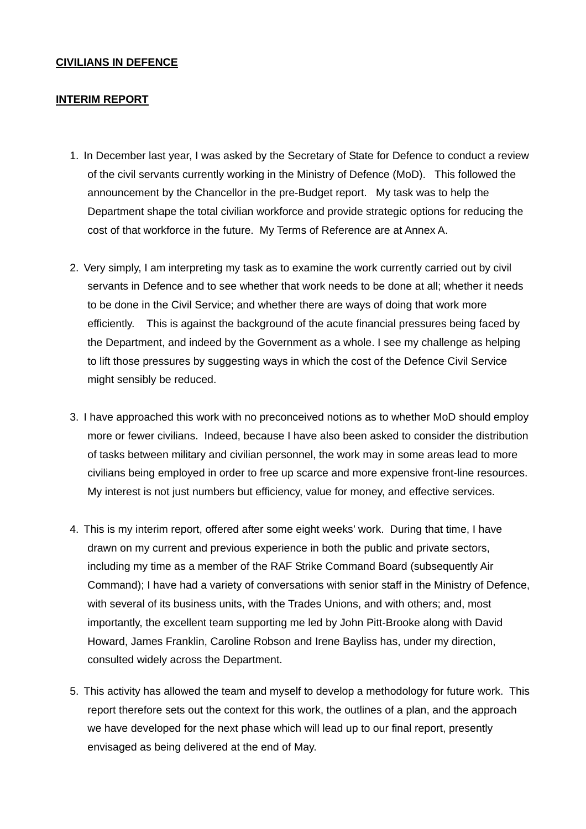#### **CIVILIANS IN DEFENCE**

#### **INTERIM REPORT**

- 1. In December last year, I was asked by the Secretary of State for Defence to conduct a review of the civil servants currently working in the Ministry of Defence (MoD). This followed the announcement by the Chancellor in the pre-Budget report. My task was to help the Department shape the total civilian workforce and provide strategic options for reducing the cost of that workforce in the future. My Terms of Reference are at Annex A.
- 2. Very simply, I am interpreting my task as to examine the work currently carried out by civil servants in Defence and to see whether that work needs to be done at all; whether it needs to be done in the Civil Service; and whether there are ways of doing that work more efficiently. This is against the background of the acute financial pressures being faced by the Department, and indeed by the Government as a whole. I see my challenge as helping to lift those pressures by suggesting ways in which the cost of the Defence Civil Service might sensibly be reduced.
- 3. I have approached this work with no preconceived notions as to whether MoD should employ more or fewer civilians. Indeed, because I have also been asked to consider the distribution of tasks between military and civilian personnel, the work may in some areas lead to more civilians being employed in order to free up scarce and more expensive front-line resources. My interest is not just numbers but efficiency, value for money, and effective services.
- 4. This is my interim report, offered after some eight weeks' work. During that time, I have drawn on my current and previous experience in both the public and private sectors, including my time as a member of the RAF Strike Command Board (subsequently Air Command); I have had a variety of conversations with senior staff in the Ministry of Defence, with several of its business units, with the Trades Unions, and with others; and, most importantly, the excellent team supporting me led by John Pitt-Brooke along with David Howard, James Franklin, Caroline Robson and Irene Bayliss has, under my direction, consulted widely across the Department.
- 5. This activity has allowed the team and myself to develop a methodology for future work. This report therefore sets out the context for this work, the outlines of a plan, and the approach we have developed for the next phase which will lead up to our final report, presently envisaged as being delivered at the end of May.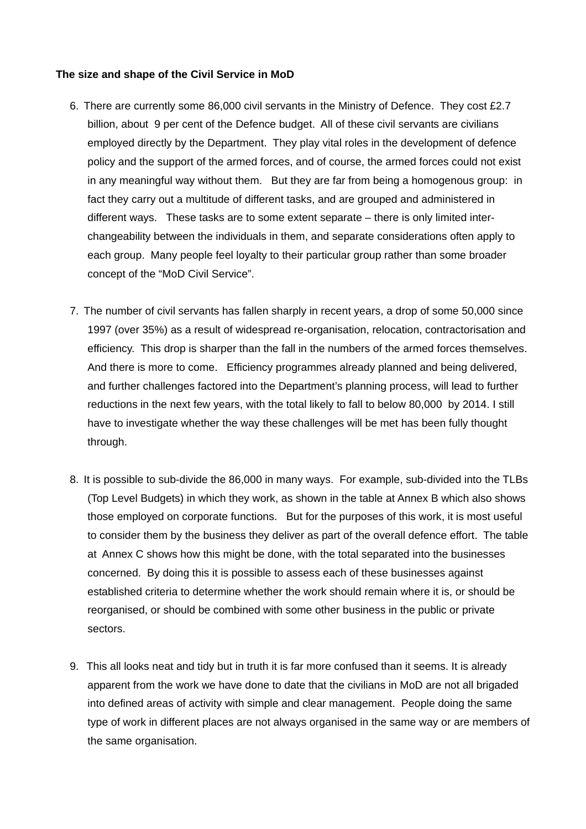#### **The size and shape of the Civil Service in MoD**

- 6. There are currently some 86,000 civil servants in the Ministry of Defence. They cost £2.7 billion, about 9 per cent of the Defence budget. All of these civil servants are civilians employed directly by the Department. They play vital roles in the development of defence policy and the support of the armed forces, and of course, the armed forces could not exist in any meaningful way without them. But they are far from being a homogenous group: in fact they carry out a multitude of different tasks, and are grouped and administered in different ways. These tasks are to some extent separate – there is only limited interchangeability between the individuals in them, and separate considerations often apply to each group. Many people feel loyalty to their particular group rather than some broader concept of the "MoD Civil Service".
- 7. The number of civil servants has fallen sharply in recent years, a drop of some 50,000 since 1997 (over 35%) as a result of widespread re-organisation, relocation, contractorisation and efficiency. This drop is sharper than the fall in the numbers of the armed forces themselves. And there is more to come. Efficiency programmes already planned and being delivered, and further challenges factored into the Department's planning process, will lead to further reductions in the next few years, with the total likely to fall to below 80,000 by 2014. I still have to investigate whether the way these challenges will be met has been fully thought through.
- 8. It is possible to sub-divide the 86,000 in many ways. For example, sub-divided into the TLBs (Top Level Budgets) in which they work, as shown in the table at Annex B which also shows those employed on corporate functions. But for the purposes of this work, it is most useful to consider them by the business they deliver as part of the overall defence effort. The table at Annex C shows how this might be done, with the total separated into the businesses concerned. By doing this it is possible to assess each of these businesses against established criteria to determine whether the work should remain where it is, or should be reorganised, or should be combined with some other business in the public or private sectors.
- 9. This all looks neat and tidy but in truth it is far more confused than it seems. It is already apparent from the work we have done to date that the civilians in MoD are not all brigaded into defined areas of activity with simple and clear management. People doing the same type of work in different places are not always organised in the same way or are members of the same organisation.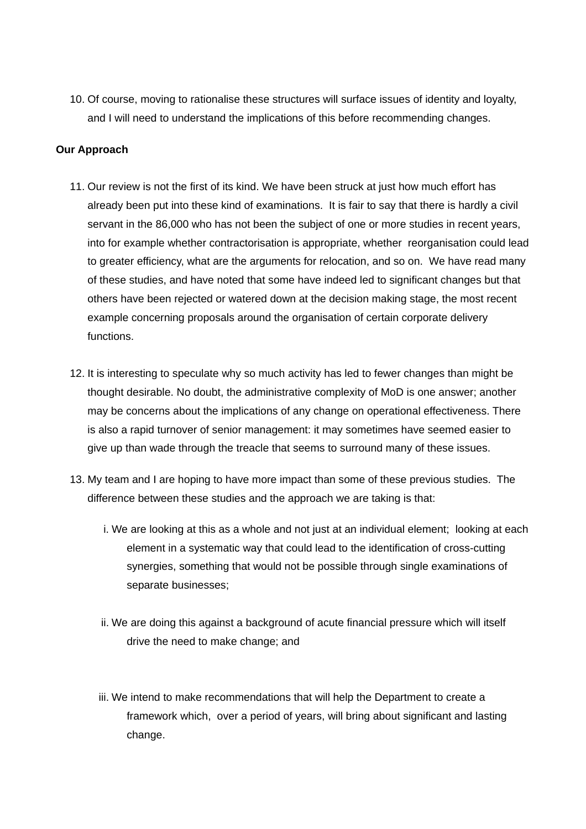10. Of course, moving to rationalise these structures will surface issues of identity and loyalty, and I will need to understand the implications of this before recommending changes.

### **Our Approach**

- 11. Our review is not the first of its kind. We have been struck at just how much effort has already been put into these kind of examinations. It is fair to say that there is hardly a civil servant in the 86,000 who has not been the subject of one or more studies in recent years, into for example whether contractorisation is appropriate, whether reorganisation could lead to greater efficiency, what are the arguments for relocation, and so on. We have read many of these studies, and have noted that some have indeed led to significant changes but that others have been rejected or watered down at the decision making stage, the most recent example concerning proposals around the organisation of certain corporate delivery functions.
- 12. It is interesting to speculate why so much activity has led to fewer changes than might be thought desirable. No doubt, the administrative complexity of MoD is one answer; another may be concerns about the implications of any change on operational effectiveness. There is also a rapid turnover of senior management: it may sometimes have seemed easier to give up than wade through the treacle that seems to surround many of these issues.
- 13. My team and I are hoping to have more impact than some of these previous studies. The difference between these studies and the approach we are taking is that:
	- i. We are looking at this as a whole and not just at an individual element; looking at each element in a systematic way that could lead to the identification of cross-cutting synergies, something that would not be possible through single examinations of separate businesses;
	- ii. We are doing this against a background of acute financial pressure which will itself drive the need to make change; and
	- iii. We intend to make recommendations that will help the Department to create a framework which, over a period of years, will bring about significant and lasting change.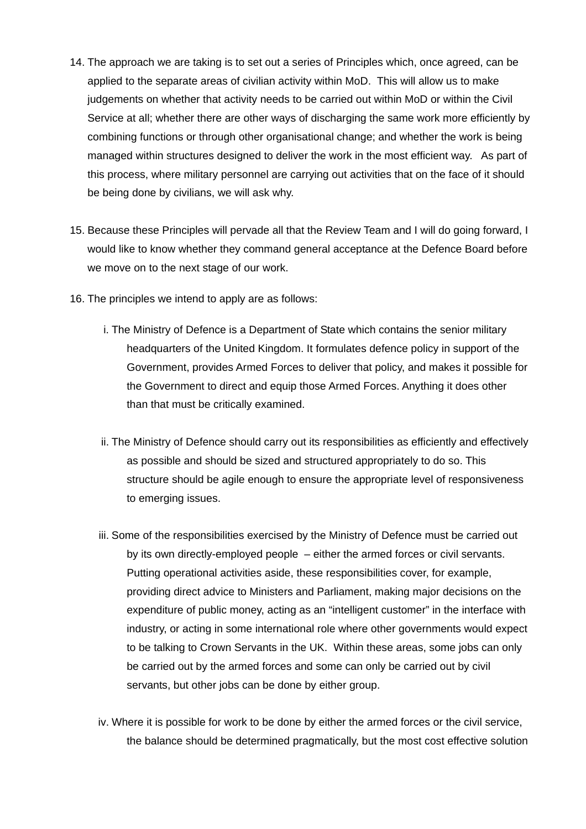- 14. The approach we are taking is to set out a series of Principles which, once agreed, can be applied to the separate areas of civilian activity within MoD. This will allow us to make judgements on whether that activity needs to be carried out within MoD or within the Civil Service at all; whether there are other ways of discharging the same work more efficiently by combining functions or through other organisational change; and whether the work is being managed within structures designed to deliver the work in the most efficient way. As part of this process, where military personnel are carrying out activities that on the face of it should be being done by civilians, we will ask why.
- 15. Because these Principles will pervade all that the Review Team and I will do going forward, I would like to know whether they command general acceptance at the Defence Board before we move on to the next stage of our work.
- 16. The principles we intend to apply are as follows:
	- i. The Ministry of Defence is a Department of State which contains the senior military headquarters of the United Kingdom. It formulates defence policy in support of the Government, provides Armed Forces to deliver that policy, and makes it possible for the Government to direct and equip those Armed Forces. Anything it does other than that must be critically examined.
	- ii. The Ministry of Defence should carry out its responsibilities as efficiently and effectively as possible and should be sized and structured appropriately to do so. This structure should be agile enough to ensure the appropriate level of responsiveness to emerging issues.
	- iii. Some of the responsibilities exercised by the Ministry of Defence must be carried out by its own directly-employed people – either the armed forces or civil servants. Putting operational activities aside, these responsibilities cover, for example, providing direct advice to Ministers and Parliament, making major decisions on the expenditure of public money, acting as an "intelligent customer" in the interface with industry, or acting in some international role where other governments would expect to be talking to Crown Servants in the UK. Within these areas, some jobs can only be carried out by the armed forces and some can only be carried out by civil servants, but other jobs can be done by either group.
	- iv. Where it is possible for work to be done by either the armed forces or the civil service, the balance should be determined pragmatically, but the most cost effective solution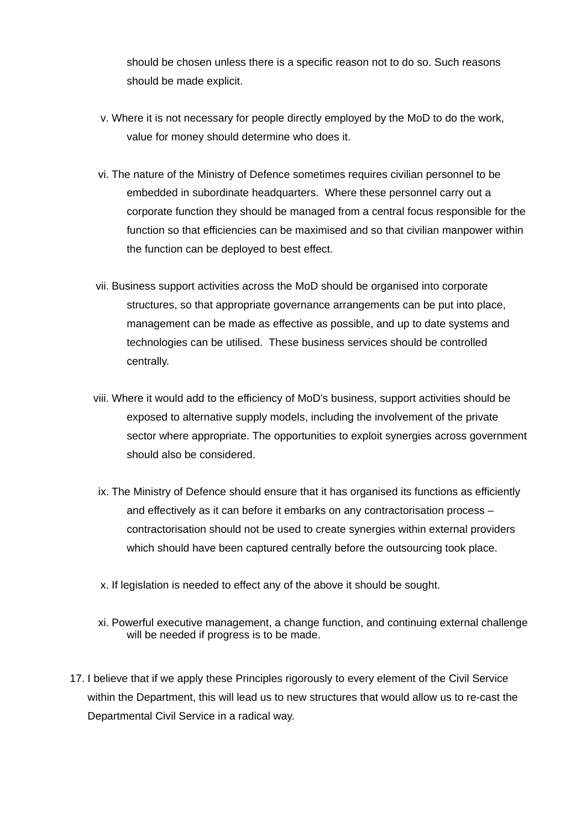should be chosen unless there is a specific reason not to do so. Such reasons should be made explicit.

- v. Where it is not necessary for people directly employed by the MoD to do the work, value for money should determine who does it.
- vi. The nature of the Ministry of Defence sometimes requires civilian personnel to be embedded in subordinate headquarters. Where these personnel carry out a corporate function they should be managed from a central focus responsible for the function so that efficiencies can be maximised and so that civilian manpower within the function can be deployed to best effect.
- vii. Business support activities across the MoD should be organised into corporate structures, so that appropriate governance arrangements can be put into place, management can be made as effective as possible, and up to date systems and technologies can be utilised. These business services should be controlled centrally.
- viii. Where it would add to the efficiency of MoD's business, support activities should be exposed to alternative supply models, including the involvement of the private sector where appropriate. The opportunities to exploit synergies across government should also be considered.
- ix. The Ministry of Defence should ensure that it has organised its functions as efficiently and effectively as it can before it embarks on any contractorisation process – contractorisation should not be used to create synergies within external providers which should have been captured centrally before the outsourcing took place.
- x. If legislation is needed to effect any of the above it should be sought.
- xi. Powerful executive management, a change function, and continuing external challenge will be needed if progress is to be made.
- 17. I believe that if we apply these Principles rigorously to every element of the Civil Service within the Department, this will lead us to new structures that would allow us to re-cast the Departmental Civil Service in a radical way.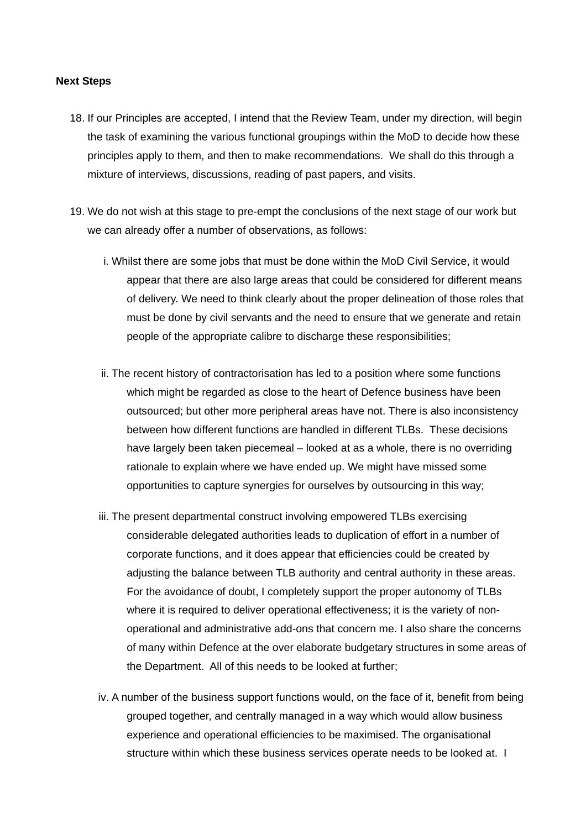#### **Next Steps**

- 18. If our Principles are accepted, I intend that the Review Team, under my direction, will begin the task of examining the various functional groupings within the MoD to decide how these principles apply to them, and then to make recommendations. We shall do this through a mixture of interviews, discussions, reading of past papers, and visits.
- 19. We do not wish at this stage to pre-empt the conclusions of the next stage of our work but we can already offer a number of observations, as follows:
	- i. Whilst there are some jobs that must be done within the MoD Civil Service, it would appear that there are also large areas that could be considered for different means of delivery. We need to think clearly about the proper delineation of those roles that must be done by civil servants and the need to ensure that we generate and retain people of the appropriate calibre to discharge these responsibilities;
	- ii. The recent history of contractorisation has led to a position where some functions which might be regarded as close to the heart of Defence business have been outsourced; but other more peripheral areas have not. There is also inconsistency between how different functions are handled in different TLBs. These decisions have largely been taken piecemeal – looked at as a whole, there is no overriding rationale to explain where we have ended up. We might have missed some opportunities to capture synergies for ourselves by outsourcing in this way;
	- iii. The present departmental construct involving empowered TLBs exercising considerable delegated authorities leads to duplication of effort in a number of corporate functions, and it does appear that efficiencies could be created by adjusting the balance between TLB authority and central authority in these areas. For the avoidance of doubt, I completely support the proper autonomy of TLBs where it is required to deliver operational effectiveness; it is the variety of nonoperational and administrative add-ons that concern me. I also share the concerns of many within Defence at the over elaborate budgetary structures in some areas of the Department. All of this needs to be looked at further;
	- iv. A number of the business support functions would, on the face of it, benefit from being grouped together, and centrally managed in a way which would allow business experience and operational efficiencies to be maximised. The organisational structure within which these business services operate needs to be looked at. I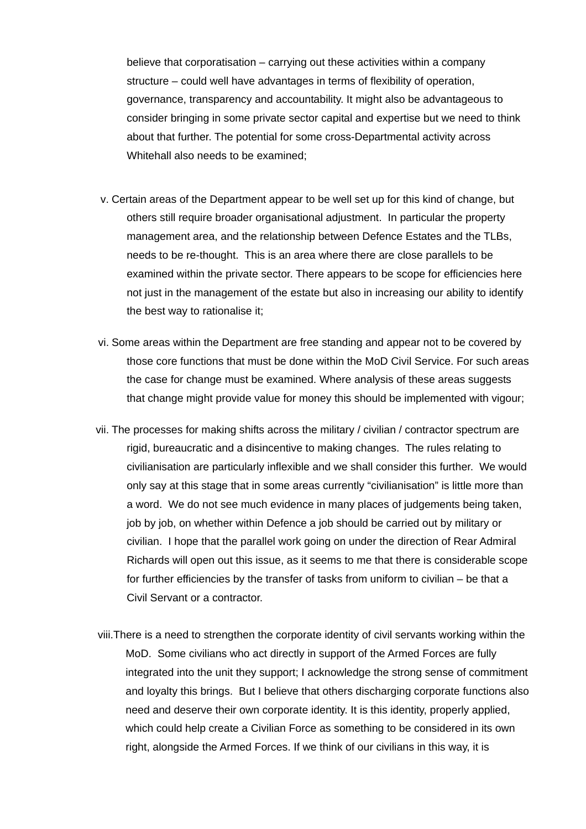believe that corporatisation – carrying out these activities within a company structure – could well have advantages in terms of flexibility of operation, governance, transparency and accountability. It might also be advantageous to consider bringing in some private sector capital and expertise but we need to think about that further. The potential for some cross-Departmental activity across Whitehall also needs to be examined;

- v. Certain areas of the Department appear to be well set up for this kind of change, but others still require broader organisational adjustment. In particular the property management area, and the relationship between Defence Estates and the TLBs, needs to be re-thought. This is an area where there are close parallels to be examined within the private sector. There appears to be scope for efficiencies here not just in the management of the estate but also in increasing our ability to identify the best way to rationalise it;
- vi. Some areas within the Department are free standing and appear not to be covered by those core functions that must be done within the MoD Civil Service. For such areas the case for change must be examined. Where analysis of these areas suggests that change might provide value for money this should be implemented with vigour;
- vii. The processes for making shifts across the military / civilian / contractor spectrum are rigid, bureaucratic and a disincentive to making changes. The rules relating to civilianisation are particularly inflexible and we shall consider this further. We would only say at this stage that in some areas currently "civilianisation" is little more than a word. We do not see much evidence in many places of judgements being taken, job by job, on whether within Defence a job should be carried out by military or civilian. I hope that the parallel work going on under the direction of Rear Admiral Richards will open out this issue, as it seems to me that there is considerable scope for further efficiencies by the transfer of tasks from uniform to civilian – be that a Civil Servant or a contractor.
- viii.There is a need to strengthen the corporate identity of civil servants working within the MoD. Some civilians who act directly in support of the Armed Forces are fully integrated into the unit they support; I acknowledge the strong sense of commitment and loyalty this brings. But I believe that others discharging corporate functions also need and deserve their own corporate identity. It is this identity, properly applied, which could help create a Civilian Force as something to be considered in its own right, alongside the Armed Forces. If we think of our civilians in this way, it is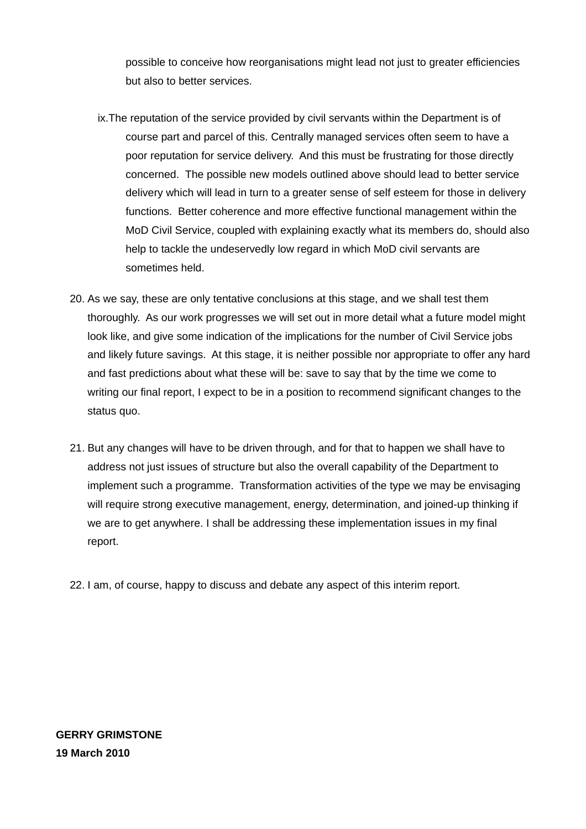possible to conceive how reorganisations might lead not just to greater efficiencies but also to better services.

- ix.The reputation of the service provided by civil servants within the Department is of course part and parcel of this. Centrally managed services often seem to have a poor reputation for service delivery. And this must be frustrating for those directly concerned. The possible new models outlined above should lead to better service delivery which will lead in turn to a greater sense of self esteem for those in delivery functions. Better coherence and more effective functional management within the MoD Civil Service, coupled with explaining exactly what its members do, should also help to tackle the undeservedly low regard in which MoD civil servants are sometimes held.
- 20. As we say, these are only tentative conclusions at this stage, and we shall test them thoroughly. As our work progresses we will set out in more detail what a future model might look like, and give some indication of the implications for the number of Civil Service jobs and likely future savings. At this stage, it is neither possible nor appropriate to offer any hard and fast predictions about what these will be: save to say that by the time we come to writing our final report, I expect to be in a position to recommend significant changes to the status quo.
- 21. But any changes will have to be driven through, and for that to happen we shall have to address not just issues of structure but also the overall capability of the Department to implement such a programme. Transformation activities of the type we may be envisaging will require strong executive management, energy, determination, and joined-up thinking if we are to get anywhere. I shall be addressing these implementation issues in my final report.
- 22. I am, of course, happy to discuss and debate any aspect of this interim report.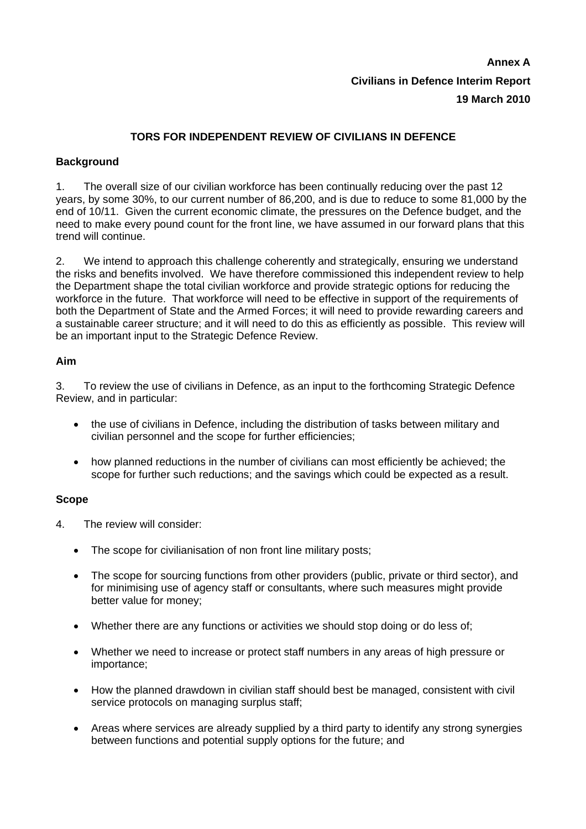# **Annex A Civilians in Defence Interim Report 19 March 2010**

## **TORS FOR INDEPENDENT REVIEW OF CIVILIANS IN DEFENCE**

## **Background**

1. The overall size of our civilian workforce has been continually reducing over the past 12 years, by some 30%, to our current number of 86,200, and is due to reduce to some 81,000 by the end of 10/11. Given the current economic climate, the pressures on the Defence budget, and the need to make every pound count for the front line, we have assumed in our forward plans that this trend will continue.

2. We intend to approach this challenge coherently and strategically, ensuring we understand the risks and benefits involved. We have therefore commissioned this independent review to help the Department shape the total civilian workforce and provide strategic options for reducing the workforce in the future. That workforce will need to be effective in support of the requirements of both the Department of State and the Armed Forces; it will need to provide rewarding careers and a sustainable career structure; and it will need to do this as efficiently as possible. This review will be an important input to the Strategic Defence Review.

## **Aim**

3. To review the use of civilians in Defence, as an input to the forthcoming Strategic Defence Review, and in particular:

- the use of civilians in Defence, including the distribution of tasks between military and civilian personnel and the scope for further efficiencies;
- how planned reductions in the number of civilians can most efficiently be achieved; the scope for further such reductions; and the savings which could be expected as a result.

## **Scope**

- 4. The review will consider:
	- The scope for civilianisation of non front line military posts;
	- The scope for sourcing functions from other providers (public, private or third sector), and for minimising use of agency staff or consultants, where such measures might provide better value for money;
	- Whether there are any functions or activities we should stop doing or do less of;
	- Whether we need to increase or protect staff numbers in any areas of high pressure or importance;
	- How the planned drawdown in civilian staff should best be managed, consistent with civil service protocols on managing surplus staff;
	- Areas where services are already supplied by a third party to identify any strong synergies between functions and potential supply options for the future; and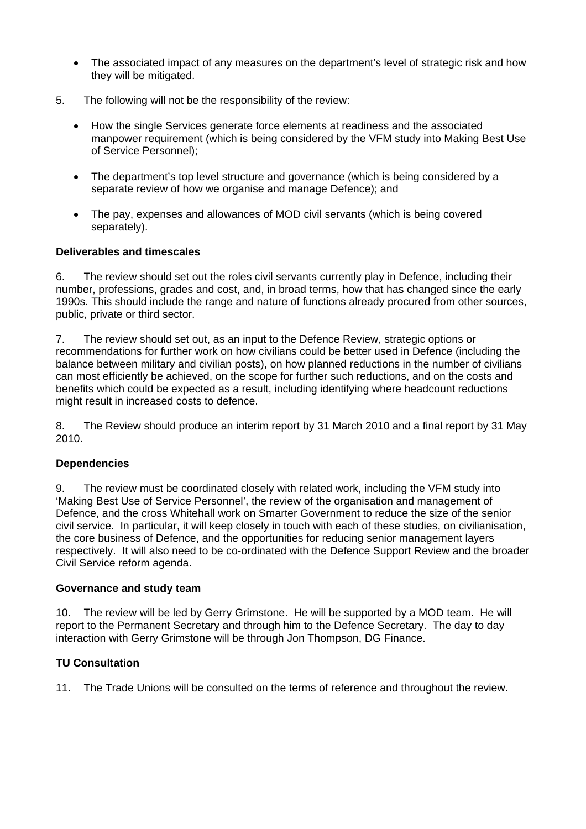- The associated impact of any measures on the department's level of strategic risk and how they will be mitigated.
- 5. The following will not be the responsibility of the review:
	- How the single Services generate force elements at readiness and the associated manpower requirement (which is being considered by the VFM study into Making Best Use of Service Personnel);
	- The department's top level structure and governance (which is being considered by a separate review of how we organise and manage Defence); and
	- The pay, expenses and allowances of MOD civil servants (which is being covered separately).

### **Deliverables and timescales**

6. The review should set out the roles civil servants currently play in Defence, including their number, professions, grades and cost, and, in broad terms, how that has changed since the early 1990s. This should include the range and nature of functions already procured from other sources, public, private or third sector.

7. The review should set out, as an input to the Defence Review, strategic options or recommendations for further work on how civilians could be better used in Defence (including the balance between military and civilian posts), on how planned reductions in the number of civilians can most efficiently be achieved, on the scope for further such reductions, and on the costs and benefits which could be expected as a result, including identifying where headcount reductions might result in increased costs to defence.

8. The Review should produce an interim report by 31 March 2010 and a final report by 31 May 2010.

## **Dependencies**

9. The review must be coordinated closely with related work, including the VFM study into 'Making Best Use of Service Personnel', the review of the organisation and management of Defence, and the cross Whitehall work on Smarter Government to reduce the size of the senior civil service. In particular, it will keep closely in touch with each of these studies, on civilianisation, the core business of Defence, and the opportunities for reducing senior management layers respectively. It will also need to be co-ordinated with the Defence Support Review and the broader Civil Service reform agenda.

### **Governance and study team**

10. The review will be led by Gerry Grimstone. He will be supported by a MOD team. He will report to the Permanent Secretary and through him to the Defence Secretary. The day to day interaction with Gerry Grimstone will be through Jon Thompson, DG Finance.

## **TU Consultation**

11. The Trade Unions will be consulted on the terms of reference and throughout the review.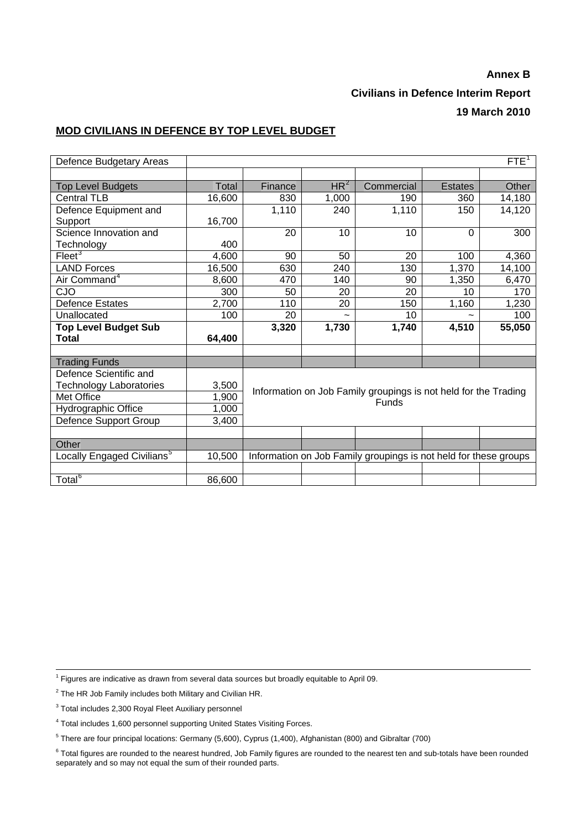## **Annex B Civilians in Defence Interim Report 19 March 2010**

#### **MOD CIVILIANS IN DEFENCE BY TOP LEVEL BUDGET**

| Defence Budgetary Areas                | FTE <sup>1</sup> |                                                                          |                 |                                                                  |                |        |  |
|----------------------------------------|------------------|--------------------------------------------------------------------------|-----------------|------------------------------------------------------------------|----------------|--------|--|
|                                        |                  |                                                                          |                 |                                                                  |                |        |  |
| <b>Top Level Budgets</b>               | Total            | Finance                                                                  | HR <sup>2</sup> | Commercial                                                       | <b>Estates</b> | Other  |  |
| <b>Central TLB</b>                     | 16,600           | 830                                                                      | 1,000           | 190                                                              | 360            | 14,180 |  |
| Defence Equipment and                  |                  | 1,110                                                                    | 240             | 1,110                                                            | 150            | 14,120 |  |
| Support                                | 16,700           |                                                                          |                 |                                                                  |                |        |  |
| Science Innovation and                 |                  | 20                                                                       | 10              | 10                                                               | $\Omega$       | 300    |  |
| Technology                             | 400              |                                                                          |                 |                                                                  |                |        |  |
| Fleet <sup>3</sup>                     | 4,600            | 90                                                                       | 50              | 20                                                               | 100            | 4,360  |  |
| <b>LAND Forces</b>                     | 16,500           | 630                                                                      | 240             | 130                                                              | 1,370          | 14,100 |  |
| Air Command <sup>4</sup>               | 8,600            | 470                                                                      | 140             | 90                                                               | 1,350          | 6,470  |  |
| CJO                                    | 300              | 50                                                                       | 20              | 20                                                               | 10             | 170    |  |
| <b>Defence Estates</b>                 | 2,700            | 110                                                                      | 20              | 150                                                              | 1,160          | 1,230  |  |
| Unallocated                            | 100              | 20                                                                       | $\tilde{}$      | 10                                                               |                | 100    |  |
| <b>Top Level Budget Sub</b>            |                  | 3,320                                                                    | 1,730           | 1,740                                                            | 4,510          | 55,050 |  |
| Total                                  | 64,400           |                                                                          |                 |                                                                  |                |        |  |
|                                        |                  |                                                                          |                 |                                                                  |                |        |  |
| <b>Trading Funds</b>                   |                  |                                                                          |                 |                                                                  |                |        |  |
| Defence Scientific and                 |                  |                                                                          |                 |                                                                  |                |        |  |
| <b>Technology Laboratories</b>         | 3,500            | Information on Job Family groupings is not held for the Trading<br>Funds |                 |                                                                  |                |        |  |
| Met Office                             | 1,900            |                                                                          |                 |                                                                  |                |        |  |
| Hydrographic Office                    | 1,000            |                                                                          |                 |                                                                  |                |        |  |
| Defence Support Group                  | 3,400            |                                                                          |                 |                                                                  |                |        |  |
|                                        |                  |                                                                          |                 |                                                                  |                |        |  |
| Other                                  |                  |                                                                          |                 |                                                                  |                |        |  |
| Locally Engaged Civilians <sup>5</sup> | 10,500           |                                                                          |                 | Information on Job Family groupings is not held for these groups |                |        |  |
|                                        |                  |                                                                          |                 |                                                                  |                |        |  |
| Total <sup>6</sup>                     | 86,600           |                                                                          |                 |                                                                  |                |        |  |

<span id="page-10-0"></span><sup>1</sup> Figures are indicative as drawn from several data sources but broadly equitable to April 09.

<span id="page-10-1"></span> $2$  The HR Job Family includes both Military and Civilian HR.

<span id="page-10-2"></span><sup>&</sup>lt;sup>3</sup> Total includes 2,300 Royal Fleet Auxiliary personnel

<span id="page-10-3"></span><sup>&</sup>lt;sup>4</sup> Total includes 1,600 personnel supporting United States Visiting Forces.

<span id="page-10-4"></span><sup>5</sup> There are four principal locations: Germany (5,600), Cyprus (1,400), Afghanistan (800) and Gibraltar (700)

<span id="page-10-5"></span> $6$  Total figures are rounded to the nearest hundred, Job Family figures are rounded to the nearest ten and sub-totals have been rounded separately and so may not equal the sum of their rounded parts.